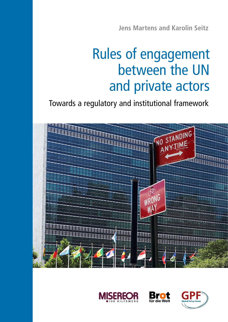**Jens Martens and Karolin Seitz**

# Rules of engagement between the UN and private actors

Towards a regulatory and institutional framework







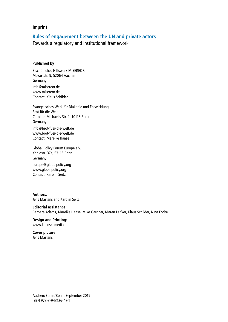#### **Imprint**

### **Rules of engagement between the UN and private actors**

Towards a regulatory and institutional framework

#### **Published by**

Bischöfliches Hilfswerk MISEREOR Mozartstr. 9, 52064 Aachen Germany info@misereor.de www.misereor.de Contact: Klaus Schilder

Evangelisches Werk für Diakonie und Entwicklung Brot für die Welt Caroline-Michaelis-Str. 1, 10115 Berlin Germany info@brot-fuer-die-welt.de www.brot-fuer-die-welt.de Contact: Mareike Haase

Global Policy Forum Europe e.V. Königstr. 37a, 53115 Bonn Germany

europe@globalpolicy.org www.globalpolicy.org Contact: Karolin Seitz

#### **Authors:**

Jens Martens and Karolin Seitz

#### **Editorial assistance:**

Barbara Adams, Mareike Haase, Mike Gardner, Maren Leifker, Klaus Schilder, Nina Focke

**Design and Printing:** www.kalinski.media

#### **Cover picture:** Jens Martens

Aachen/Berlin/Bonn, September 2019 ISBN 978-3-943126-47-1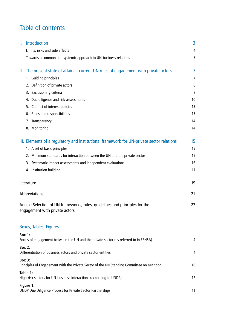# Table of contents

| I. | <b>Introduction</b>                                                                                           | 3  |
|----|---------------------------------------------------------------------------------------------------------------|----|
|    | Limits, risks and side effects                                                                                | 4  |
|    | Towards a common and systemic approach to UN-business relations                                               | 5  |
|    | II. The present state of affairs – current UN rules of engagement with private actors                         | 7  |
|    | 1. Guiding principles                                                                                         | 7  |
|    | 2. Definition of private actors                                                                               | 8  |
|    | 3. Exclusionary criteria                                                                                      | 8  |
|    | 4. Due diligence and risk assessments                                                                         | 10 |
|    | 5. Conflict of interest policies                                                                              | 13 |
|    | 6. Roles and responsibilities                                                                                 | 13 |
|    | Transparency<br>7.                                                                                            | 14 |
|    | 8. Monitoring                                                                                                 | 14 |
|    | III. Elements of a regulatory and institutional framework for UN-private sector relations                     | 15 |
|    | 1. A set of basic principles                                                                                  | 15 |
|    | 2. Minimum standards for interaction between the UN and the private sector                                    | 15 |
|    | 3. Systematic impact assessments and independent evaluations                                                  | 16 |
|    | 4. Institution building                                                                                       | 17 |
|    | Literature                                                                                                    | 19 |
|    | <b>Abbreviations</b>                                                                                          | 21 |
|    | Annex: Selection of UN frameworks, rules, quidelines and principles for the<br>engagement with private actors | 22 |
|    | <b>Boxes, Tables, Figures</b>                                                                                 |    |
|    | <b>Box 1:</b><br>Forms of engagement between the UN and the private sector (as referred to in FENSA)          | 4  |
|    | <b>Box 2:</b><br>Differentiation of business actors and private sector entities                               | 4  |
|    | <b>Box 3:</b><br>Principles of Engagement with the Private Sector of the UN Standing Committee on Nutrition   | 16 |
|    | Table 1:<br>High-risk sectors for UN-business interactions (according to UNDP)                                | 12 |
|    | Figure 1:<br><b>UNDP Due Diligence Process for Private Sector Partnerships</b>                                | 11 |
|    |                                                                                                               |    |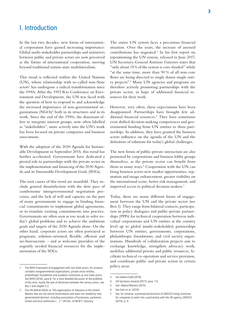### I. Introduction

In the last two decades, new forms of international cooperation have gained increasing importance: Global multi-stakeholder partnerships and initiatives between public and private actors are now perceived as the future of international cooperation, moving beyond traditional nation-state multilateralism.

This trend is reflected within the United Nations (UN), whose relationship with so-called non-State actors<sup>1</sup> has undergone a radical transformation since the 1990s. After the 1992 Rio Conference on Environment and Development, the UN was faced with the question of how to respond to and acknowledge the increased importance of non-governmental organizations (NGOs)2 both in its structures and in its work. Since the end of the 1990s, the dominant effort to integrate interest groups, now often labelled as "stakeholders", more actively into the UN's work has been focused on private companies and business associations.

With the adoption of the 2030 Agenda for Sustainable Development in September 2015, this trend has further accelerated. Governments have dedicated a pivotal role to partnerships with the private sector in the implementation and financing of the 2030 Agenda and its Sustainable Development Goals (SDGs).

The root causes of this trend are manifold. They include general dissatisfaction with the slow pace of cumbersome intergovernmental negotiation processes, and the lack of will and capacity on the part of many governments to engage in binding financial commitments to implement global agreements, or to translate existing commitments into practice. Governments are often seen as too weak to solve today's global problems and to achieve the ambitious goals and targets of the 2030 Agenda alone. On the other hand, corporate actors are often portrayed as pragmatic, solution-oriented, flexible, efficient and un-bureaucratic – and as welcome providers of the urgently needed financial resources for the implementation of the SDGs.

The entire UN system faces a precarious financial situation. Over the years, the increase of assessed contributions has stagnated.<sup>3</sup> In his first report on repositioning the UN system, released in June 2017, UN Secretary-General António Guterres states that "only about 15% of the system is core-funded" while "at the same time, more than 90 % of all non-core flows are being directed to single donor-single entity projects".4 Many UN agencies and programs are therefore actively promoting partnerships with the private sector, in hope of additional financial resources for their work.

However, very often, these expectations have been disappointed. Partnerships have brought few additional financial resources.5 They have sometimes even shifted decision-making competences and governmental funding from UN entities to these partnerships. In addition, they have granted the business actors influence on the agenda of the UN and the definition of solutions for today's global challenges.

The new forms of public-private interaction are also promoted by corporations and business lobby groups themselves, as the private sector can benefit from them in many ways.<sup>6</sup> Cooperation with the UN can bring business actors new market opportunities, reputation and image enhancement, greater visibility on the international scene, better risk management, and improved access to political decision-makers.7

Today, there are many different forms of engagement between the UN and the private sector (see Box 1). They range from bilateral contacts, participation in policy dialogues and public-private partnerships (PPPs) for technical cooperation between individual corporations and UN entities at the country level up to global (multi-stakeholder) partnerships between UN entities, governments, corporations, philanthropic foundations, and civil society organizations. Hundreds of collaboration projects aim to exchange knowledge, strengthen advocacy work, mobilize additional private and public resources, facilitate technical co-operation and service provision, and coordinate public and private action in certain policy areas.

<sup>1</sup> The WHO Framework of engagement with non-State actors, for instance, considers nongovernmental organizations, private sector entities, philanthropic foundations and academic institutions as non-State actors. See WHO (2016), para 8. For a more detailed discussion of the problems of this term, mainly the lack of distinction between the various actors, see Box 2 and chapter II.3.

<sup>2</sup> The UN defines NGOs as "All organizations of relevance to the United Nations that are not central Governments and were not created by intergovernmental decision, including associations of businesses, parliamentarians and local authorities (…)." UN Doc. A/58/817, Glossary.

<sup>3</sup> See Adams/Judd (2018).

<sup>4</sup> UN Secretary-General (2017), para. 112.

<sup>5</sup> See: Adams/Martens (2015).

<sup>6</sup> See Seitz et al. (2019).

<sup>7</sup> See, for instance, a promotional brochure of UNESCO listing incentives for companies to enter into a partnership with the UN agency, UNESCO (2014), p. 9.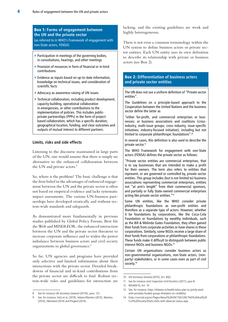#### Box 1: **Forms of engagement between the UN and the private sector**

(as referred to in WHO's Framework of engagement with non-State actors, FENSA)

- **»** Participation in meetings of the governing bodies, in consultations, hearings, and other meetings
- **»** Provision of resources in form of financial or in-kind contributions
- **»** Evidence as inputs based on up-to-date information, knowledge on technical issues, and consideration of scientific facts
- **»** Advocacy as awareness raising of UN issues
- **»** Technical collaboration, including product development, capacity-building, operational collaboration in emergencies, or other contributions to the implementation of policies. This includes publicprivate partnerships (PPPs) in the form of projectbased collaboration, which has a specific duration, geographical location, funding, and clear outcomes and outputs of mutual interest to different partners.

#### **Limits, risks and side effects**

Listening to the discourse maintained in large parts of the UN, one would assume that there is simply no alternative to the enhanced collaboration between the UN and private actors.<sup>8</sup>

So, where is the problem? The basic challenge is that the firm belief in the advantages of enhanced engagement between the UN and the private sector is often not based on empirical evidence and lacks systematic impact assessments. The various UN-business partnerships have developed erratically and without system-wide standards and safeguards.

As demonstrated more fundamentally in previous studies published by Global Policy Forum, Brot für die Welt and MISEREOR, the enhanced interaction between the UN and the private sector threatens to increase corporate influence and to widen the power imbalance between business actors and civil society organizations in global governance.<sup>9</sup>

So far, UN agencies and programs have provided only selective and limited information about their interactions with the private sector. Detailed breakdowns of financial and in-kind contributions from the private sector are difficult to find. Robust system-wide rules and guidelines for interaction are lacking, and the existing guidelines are weak and highly heterogeneous.

There is not even a common terminology within the UN system to define business actors or private sector entities. Each UN entity uses its own definition to describe its relationship with private or business actors (see Box 2).

#### Box 2: **Differentiation of business actors and private sector entities**

The UN does not use a uniform definition of "Private sector entities".

The Guidelines on a principle-based approach to the Cooperation between the United Nations and the business sector define the latter as

"either for-profit, and commercial enterprises or businesses; or business associations and coalitions (crossindustry, multi-issue groups; cross industry, issue-specific initiatives; industry-focused initiative); including but not limited to corporate philanthropic foundations".10

In several cases, this definition is also used to describe the private sector.<sup>11</sup>

The WHO Framework for engagement with non-State actors (FENSA) defines the private sector as follows:

"Private sector entities are commercial enterprises, that is to say businesses that are intended to make a profit for their owners. The term also refers to entities that represent, or are governed or controlled by, private sector entities. This group includes (but is not limited to) business associations representing commercial enterprises, entities not "at arm's length" from their commercial sponsors, and partially or fully State-owned commercial enterprises acting like private sector entities."12

Some UN entities, like the WHO consider private philanthropic foundations as non-profit entities and therefore as a separate type of actors. However, whether it be foundations by corporations, like the Coca-Cola Foundation or foundations by wealthy individuals, such as the Bill & Melinda Gates Foundation, they often gained their funds from corporate activities or have shares in these corporations. Similarly, some NGOs receive a large share of their funds from corporations or philanthropic foundations. These funds make it difficult to distinguish between public interest NGOs and business NGOs.13

Certain UN organizations consider business actors as non-governmental organizations, non-State actors, (nonparty) stakeholders, or in some cases even as part of civil society.<sup>14</sup>

<sup>8</sup> See for instance UN Secretary-General (2017b), para. 131.

<sup>9</sup> See, for instance, Seitz et al. (2019), Adams/Martens (2015), Martens (2014), Obenland (2014) and Pingeot (2014).

<sup>10</sup> UN Secretary-General (2015), Art. 8(b).

<sup>11</sup> See for instance Joint Inspection Unit/Dumitriu (2017), para 8.

<sup>12</sup> WHA69.10, Art. 10

<sup>13</sup> See, for instance, [https://thewire.in/health/whos-plan-to-jointly-work](https://thewire.in/health/whos-plan-to-jointly-work-with-privately-funded-groups-threatens-its-credibility)[with-privately-funded-groups-threatens-its-credibility](https://thewire.in/health/whos-plan-to-jointly-work-with-privately-funded-groups-threatens-its-credibility)

<sup>14</sup> [https://unctad.org/en/Pages/About%20UNCTAD/UNCTAD%20And%20](https://unctad.org/en/Pages/About%20UNCTAD/UNCTAD%20And%20Civil%20Society/NGOs-IGOs-with-observer-status.aspx) [Civil%20Society/NGOs-IGOs-with-observer-status.aspx](https://unctad.org/en/Pages/About%20UNCTAD/UNCTAD%20And%20Civil%20Society/NGOs-IGOs-with-observer-status.aspx)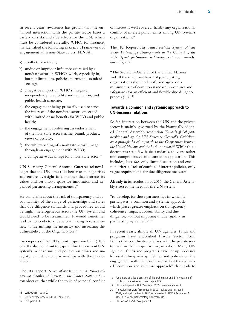In recent years, awareness has grown that the enhanced interaction with the private sector bares a variety of risks and side effects for the UN, which must be considered carefully. WHO, for instance, has identified the following risks in its Framework of engagement with non-State actors (FENSA):

- a) conflicts of interest;
- b) undue or improper influence exercised by a nonState actor on WHO's work, especially in, but not limited to, policies, norms and standard setting;
- c) a negative impact on WHO's integrity, independence, credibility and reputation; and public health mandate;
- d) the engagement being primarily used to serve the interests of the nonState actor concerned with limited or no benefits for WHO and public health;
- d) the engagement conferring an endorsement of the non-State actor's name, brand, product, views or activity;
- f) the whitewashing of a nonState actor's image through an engagement with WHO;
- g) a competitive advantage for a non-State actor.15

UN Secretary-General António Guterres acknowledges that the UN "must do better to manage risks and ensure oversight in a manner that protects its values and yet allows space for innovation and expanded partnership arrangements".16

He complains about the lack of transparency and accountability of the range of partnerships and states that due diligence standards and procedures would be highly heterogeneous across the UN system and would need to be streamlined. It would sometimes lead to contradictory decision-making across entities, "undermining the integrity and increasing the vulnerability of the Organization".17

Two reports of the UN's Joint Inspection Unit (JIU) of 2017 also point out to gaps within the current UN system's mechanisms and policies on ethics and integrity, as well as on partnerships with the private sector.

The JIU Report *Review of Mechanisms and Policies addressing Conflict of Interest in the United Nations System* observes that while the topic of personal conflict of interest is well covered, hardly any organizational conflict of interest policy exists among UN system's organizations.18

The JIU Report *The United Nations System: Private Sector Partnerships Arrangements in the Context of the 2030 Agenda for Sustainable Development* recommends, *inter alia,* that

"The Secretary-General of the United Nations and all the executive heads of participating organizations should identify and agree on a minimum set of common standard procedures and safeguards for an efficient and flexible due diligence process  $(\ldots)$ ."<sup>19</sup>

#### **Towards a common and systemic approach to UN-business relations**

So far, interaction between the UN and the private sector is mainly governed by the biannually adopted General Assembly resolution *Towards global partnerships and by the UN Secretary General's Guidelines on a principle-based approach to the Cooperation between the United Nations and the business sector.* 20 While these documents set a few basic standards, they are rather non-comprehensive and limited in application. This includes, *inter alia,* only limited selection and exclusion criteria, lack of conflict of interest policies, only vague requirements for due diligence measures.

Already in its resolution of 2015, the General Assembly stressed the need for the UN system

"to develop, for those partnerships in which it participates, a common and systemic approach which places greater emphasis on transparency, coherence, impact, accountability and due diligence, without imposing undue rigidity in partnership agreements".21

In recent years, almost all UN agencies, funds and programs have established Private Sector Focal Points that coordinate activities with the private sector within their respective organization. Many UN agencies, funds and programs have set up processes for establishing new guidelines and policies on the engagement with the private sector. But the requested "common and systemic approach" that leads to

<sup>15</sup> WHO (2016), para. 7.

<sup>16</sup> UN Secretary-General (2017b), para. 132.

<sup>17</sup> Ibid. para 133.

<sup>18</sup> For a more detailed discussion of the problematic and differentiation of conflict of interest aspects see chapter II.5.

<sup>19</sup> UN Joint Inspection Unit/Dumitriu (2017), recommendation 7.

<sup>20</sup> The Guidelines were first issued in 2000, revised and reissued in 2009, and again revised in 2015 as requested by UNGA Resolution A/ RES/68/234, see UN Secretary-General (2015).

<sup>21</sup> UN Doc. A/RES/70/224, para. 13.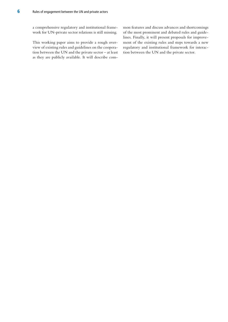a comprehensive regulatory and institutional framework for UN-private sector relations is still missing.

This working paper aims to provide a rough overview of existing rules and guidelines on the cooperation between the UN and the private sector – at least as they are publicly available. It will describe common features and discuss advances and shortcomings of the most prominent and debated rules and guidelines. Finally, it will present proposals for improvement of the existing rules and steps towards a new regulatory and institutional framework for interaction between the UN and the private sector.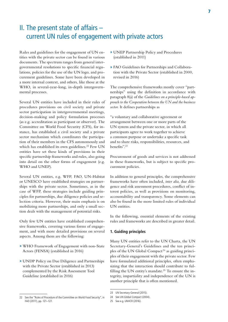### II. The present state of affairs – current UN rules of engagement with private actors

Rules and guidelines for the engagement of UN entities with the private sector can be found in various documents. The spectrum ranges from general intergovernmental resolutions to specific financial regulations, policies for the use of the UN logo, and procurement guidelines. Some have been developed in a more internal context, and others, like those at the WHO, in several-year-long, in-depth intergovernmental processes.

Several UN entities have included in their rules of procedures provisions on civil society and private sector participation in intergovernmental meetings, decision-making and policy formulation processes (as e.g. accreditation as participant or observer). The Committee on World Food Security (CFS), for instance, has established a civil society and a private sector mechanism which coordinates the participation of their members in the CFS autonomously and which has established its own guidelines.<sup>22</sup> Few UN entities have set these kinds of provisions in their specific partnership frameworks and rules, also going into detail on the other forms of engagement (e.g. WHO and UNEP).

Several UN entities, e.g. WFP, FAO, UN-Habitat or UNESCO have established strategies on partnerships with the private sector. Sometimes, as in the case of WFP, these strategies include guiding principles for partnerships, due diligence policies and selection criteria. However, their main emphasis is on mobilizing more partnerships, and only a small section deals with the management of potential risks.

Only few UN entities have established comprehensive frameworks, covering various forms of engagement, and with more detailed provisions on several aspects. Among them are the following:

- **»** WHO Framework of Engagement with non-State Actors (FENSA) (established in 2016)
- **»** UNDP Policy on Due Diligence and Partnerships with the Private Sector (established in 2013) complemented by the Risk Assessment Tool Guideline (established in 2016)
- **»** UNEP Partnership Policy and Procedures (established in 2011)
- **»** FAO Guidelines for Partnerships and Collaboration with the Private Sector (established in 2000, revised in 2016)

The comprehensive frameworks mostly cover "partnerships" using the definition in accordance with paragraph 8(a) of the *Guidelines on a principle-based approach to the Cooperation between the UN and the business sector.* It defines partnerships as

"a voluntary and collaborative agreement or arrangement between one or more parts of the UN system and the private sector, in which all participants agree to work together to achieve a common purpose or undertake a specific task and to share risks, responsibilities, resources, and benefits".23

Procurement of goods and services is not addressed in these frameworks, but is subject to specific procurement policies.

In addition to general principles, the comprehensive frameworks have often included, *inter alia,* due diligence and risk assessment procedures, conflict of interest policies, as well as provisions on monitoring, accountability and transparency. Some elements can also be found in the more limited rules of individual UN entities.

In the following, essential elements of the existing rules and frameworks are described in greater detail.

#### **1. Guiding principles**

Many UN entities refer to the UN Charta, the UN Secretary-General's Guidelines and the ten principles of the UN Global Compact<sup>24</sup> as guiding principles of their engagement with the private sector. Few have formulated additional principles, often emphasizing that the interaction should contribute to fulfilling the UN entity's mandate.<sup>25</sup> To ensure the integrity, impartiality and independence of the UN is another principle that is often mentioned.

<sup>22</sup> See the "Rules of Procedure of the Committee on World Food Security", in FAO (2017), pp. 121–127.

<sup>23</sup> UN Secretary-General (2015).

<sup>24</sup> See UN Global Compact (2004).

<sup>25</sup> See e.g. UNHCR (2016).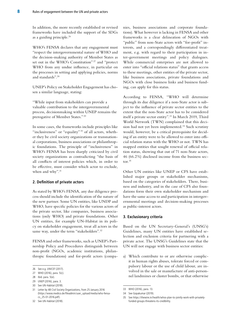In addition, the more recently established or revised frameworks have included the support of the SDGs as a guiding principle.<sup>26</sup>

WHO's FENSA declares that any engagement must "respect the intergovernmental nature of WHO and the decision-making authority of Member States as set out in the WHO's Constitution"<sup>27</sup> and "protect WHO from any undue influence, in particular on the processes in setting and applying policies, norms and standards".28

UNEP's Policy on Stakeholder Engagement has chosen a similar language, stating:

"While input from stakeholders can provide a valuable contribution to the intergovernmental process, decisionmaking within UNEP remains the prerogative of Member States." <sup>29</sup>

In some cases, the frameworks include principles like "inclusiveness" or "equality"<sup>30</sup> of all actors, whether they be civil society organizations or transnational corporations, business associations or philanthropic foundations. The principle of "inclusiveness" in WHO's FENSA has been sharply criticized by civil society organizations as contradicting "the basis of all conflicts of interest policies which, in order to be effective, must consider which actor to exclude, when and why".<sup>31</sup>

#### **2. Definition of private actors**

As stated by WHO's FENSA, any due diligence process should include the identification of the nature of the new partner. Some UN entities, like UNDP and WHO, have specific policies for the various actors of the private sector, like companies, business associations (only WHO) and private foundations. Other UN entities, for example UN-Habitat in its policy on stakeholder engagement, treat all actors in the same way, under the term "stakeholders".<sup>32</sup>

FENSA and other frameworks, such as UNEP's Partnership Policy and Procedures distinguish between non-profit (NGOs, academic institutions, philanthropic foundations) and for-profit actors (companies, business associations and corporate foundations). What however is lacking in FENSA and other frameworks is a clear delineation of NGOs with "public" from non-State actors with "for-profit" interests, and a correspondingly differentiated treatment, e.g. with regard to their participation in inter-government meetings and policy dialogues. While commercial enterprises are not allowed to enter into "official relations status" that grants access to these meetings, other entities of the private sector, like business associations, private foundations and NGOs with close business links and business funding, can apply for this status.

According to FENSA, "WHO will determine through its due diligence if a non-State actor is subject to the influence of private sector entities to the extent that the non-State actor has to be considered itself a private sector entity".33 In March 2019, Third World Network (TWN) complained that this decision had not yet been implemented. $34$  Such scrutiny would, however, be a critical prerequisite for deciding if an entity were to be allowed to enter into official relation status with the WHO or not. TWN has mapped entities that sought renewal of official relation status, showing that out of 71 non-State actors, 46 (66.2%) disclosed income from the business sector.35

Other UN entities like UNEP or CFS have established major groups or stakeholder mechanisms, based on the categories of stakeholders. There, business and industry, and in the case of CFS also foundations form their own stakeholder mechanism and have the same access to and participation in intergovernmental meetings and decision-making processes as public-interest actors.

#### **3. Exclusionary criteria**

Based on the UN Secretary-General's (UNSG's) Guidelines, many UN entities have established selection and exclusion criteria for partnering with a private actor. The UNSG's Guidelines state that the UN will not engage with business sector entities:

a) Which contribute to or are otherwise complicit in human rights abuses, tolerate forced or compulsory labour or the use of child labour, are involved in the sale or manufacture of anti-personnel landmines or cluster bombs, or that otherwise

<sup>26</sup> See e.g. UNICEF (2017).

<sup>27</sup> WHO (2016), para. 5(c).

<sup>28</sup> Ibid. para. 5(e).

<sup>29</sup> UNEP (2016), para. 3.

<sup>30</sup> See UN-Habitat (2018).

<sup>31</sup> Letter by 48 Civil Society Organizations, from 25 January 2016 [\(https://www.medico.de/fileadmin/user\\_upload/media/who-fensa](https://www.medico.de/fileadmin/user_upload/media/who-fensa-cs_25-01-2016.pdf)[cs\\_25-01-2016.pdf\)](https://www.medico.de/fileadmin/user_upload/media/who-fensa-cs_25-01-2016.pdf).

<sup>32</sup> See UN-Habitat (2018).

<sup>33</sup> WHO (2016), para. 13.

<sup>34</sup> See Gopakumar (2019).

<sup>35</sup> See [https://thewire.in/health/whos-plan-to-jointly-work-with-privately](https://thewire.in/health/whos-plan-to-jointly-work-with-privately-funded-groups-threatens-its-credibility)[funded-groups-threatens-its-credibility](https://thewire.in/health/whos-plan-to-jointly-work-with-privately-funded-groups-threatens-its-credibility).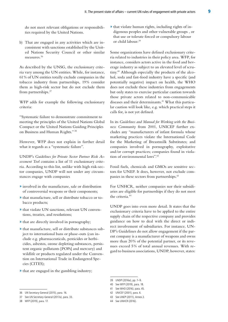do not meet relevant obligations or responsibilities required by the United Nations.

b) That are engaged in any activities which are inconsistent with sanctions established by the United Nations Security Council or other similar measures.36

As described by the UNSG, the exclusionary criteria vary among the UN entities. While, for instance, 61% of UN entities totally exclude companies in the tobacco industry from partnerships, 19% consider them as high-risk sector but do not exclude them from partnerships.37

WFP adds for example the following exclusionary criteria:

"Systematic failure to demonstrate commitment to meeting the principles of the United Nations Global Compact or the United Nations Guiding Principles on Business and Human Rights." <sup>38</sup>

However, WFP does not explain in further detail what it regards as a "systematic failure".

UNDP's *Guidelines for Private Sector Partner Risk Assessment Tool* contains a list of 11 exclusionary criteria. According to this list, unlike with high risk-sector companies, UNDP will not under any circumstances engage with companies

- **»** involved in the manufacture, sale or distribution of controversial weapons or their components;
- **»** that manufacture, sell or distribute tobacco or tobacco products;
- **»** that violate UN sanctions, relevant UN conventions, treaties, and resolutions;
- **»** that are directly involved in pornography;
- **»** that manufacture, sell or distribute substances subject to international bans or phase-outs (can include e.g. pharmaceuticals, pesticides or herbicides, asbestos, ozone depleting substances, persistent organic pollutants [POPs] and mercury) and wildlife or products regulated under the Convention on International Trade in Endangered Species (CITES);
- **»** that are engaged in the gambling industry;

**»** that violate human rights, including rights of indigenous peoples and other vulnerable groups , or that use or tolerate forced or compulsory labour or child labour.39

Some organizations have defined exclusionary criteria related to industries in their policy area. WFP, for instance, considers actors active in the food and beverage industry as subject to an elevated level of scrutiny.40 Although especially the products of the alcohol, soda and fast-food industry have a specific (and potentially negative) impact on health, the WHO does not exclude these industries from engagements but only states to exercise particular caution towards those private actors related to non-communicable diseases and their determinants.<sup>41</sup> What this particular caution will look like, e.g. which practical steps it calls for, is not yet defined.

In its *Guidelines and Manual for Working with the Business Community* from 2001, UNICEF further excludes any "manufacturers of infant formula whose marketing practices violate the International Code for the Marketing of Breastmilk Substitutes; and companies involved in pornography, exploitative and/or corrupt practices; companies found in violation of environmental laws".<sup>42</sup>

Fossil fuels, chemicals and GMOs are sensitive sectors for UNEP. It does, however, not exclude companies in these sectors from partnerships.<sup>43</sup>

For UNHCR, neither companies nor their subsidiaries are eligible for partnerships if they do not meet the criteria.44

UNDP goes into even more detail. It states that the exclusionary criteria have to be applied to the entire supply chain of the respective company and provides guidance on how to deal with the direct or indirect involvement of subsidiaries. For instance, UN-DP's Guidelines do not allow engagement if the parent company is a manufacturer of weapons and owns more than 20% of the potential partner, or its revenues exceed 5% of total annual revenues. With regard to business associations, UNDP, however, states:

- 40 See WFP (2019), para. 18.
- 41 See WHO (2016), para. 45.
- 42 UNICEF (2001), para. 6.
- 43 See UNEP (2011), Annex 2.
- 44 See UNHCR (2016).

<sup>36</sup> UN Secretary-General (2015), para. 16.

<sup>37</sup> See UN Secretary-General (2017a), para. 33.

<sup>38</sup> WFP (2019), para. 17.

<sup>39</sup> UNDP (2016a), pp. 7–9.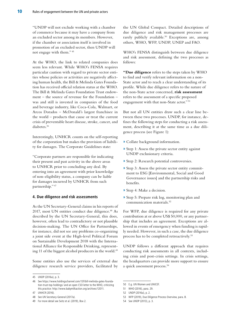"UNDP will not exclude working with a chamber of commerce because it may have a company from an excluded sector among its members. However, if the chamber or association itself is involved in promotion of an excluded sector, then UNDP will not engage with them." <sup>45</sup>

At the WHO, the link to related companies does seem less relevant. While WHO's FENSA requires particular caution with regard to private sector entities whose policies or activities are negatively affecting human health, the Bill & Melinda Gates Foundation has received official relation status at the WHO. The Bill & Melinda Gates Foundation Trust endowment – the source of revenue for the Foundation – was and still is invested in companies of the food and beverage industry, like Coca-Cola, Walmart, or Arcos Dorados – McDonald's largest franchisee in the world – products that cause or treat the current crisis of preventable heart disease, stroke, cancer, and diabetes.46

Interestingly, UNHCR counts on the self-reporting of the corporation but makes the provision of liability for damages. The Corporate Guidelines state:

"Corporate partners are responsible for indicating their present and past activity in the above areas to UNHCR prior to concluding any deal. By entering into an agreement with prior knowledge of non-eligibility status, a company can be liable for damages incurred by UNHCR from such partnership." 47

#### **4. Due diligence and risk assessments**

As the UN Secretary-General claims in his reports of 2017, most UN entities conduct due diligence.<sup>48</sup> As described by the UN Secretary-General, this does, however, often lead to contradictory or not plausible decision-making. The UN Office for Partnerships, for instance, did not see any problems co-organizing a joint side event at the High-level Political Forum on Sustainable Development 2018 with the International Alliance for Responsible Drinking, representing 11 of the biggest alcohol producers in the world.<sup>49</sup>

Some entities also use the services of external due diligence research service providers, facilitated by

the UN Global Compact. Detailed descriptions of due diligence and risk management processes are rarely publicly available.<sup>50</sup> Exceptions are, among others, WHO, WFP, UNDP, UNEP and FAO.

WHO's FENSA distinguish between due diligence and risk assessment, defining the two processes as follows:

**"Due diligence** refers to the steps taken by WHO to find and verify relevant information on a non-State actor and to reach a clear understanding of its profile. While due diligence refers to the nature of the non-State actor concerned, **risk assessment** refers to the assessment of a specific proposed engagement with that non-State actor." <sup>51</sup>

But not all UN entities draw such a clear line between these two processes. UNDP, for instance, defines the following steps for conducting a risk assessment, describing it at the same time as a due diligence process (see Figure 1):

- **»** Collate background information.
- **»** Step 1: Assess the private sector entity against UNDP exclusionary criteria.
- **»** Step 2: Research potential controversies.
- **»** Step 3: Assess the private sector entity commitment to ESG [Environmental, Social and Good Governance issues] and the partnership risks and benefits.
- **»** Step 4: Make a decision.
- **»** Step 5: Prepare risk log, monitoring plan and communication materials.52

For WFP, due diligence is required for any private contribution at or above US\$ 50,000, or any partnership that includes an agreement. Exceptions are allowed in events of emergency when funding is rapidly needed. However, in such a case, the due diligence process has to be completed retroactively.<sup>53</sup>

UNDP follows a different approach that requires conducting risk assessments in all contexts, including crisis and post-crisis settings. In crisis settings, the headquarters can provide more support to ensure a quick assessment process.54

<sup>45</sup> UNDP (2016a), p. 3.

<sup>46</sup> See [https://www.holdingschannel.com/13f/bill-melinda-gates-founda](https://www.holdingschannel.com/13f/bill-melinda-gates-foundation-trust-top-holdings/)[tion-trust-top-holdings/](https://www.holdingschannel.com/13f/bill-melinda-gates-foundation-trust-top-holdings/) and an open CSO letter to the WHO, criticizing this practice: <http://www.babymilkaction.org/archives/12011>.

<sup>47</sup> UNHCR (2016).

<sup>48</sup> See UN Secretary-General (2017a).

<sup>49</sup> For more detail see Seitz et al. (2019), Box 2.

<sup>50</sup> E.g. UN Women and UNICEF.

<sup>51</sup> WHO (2016), para. 29.

<sup>52</sup> UNDP (2016a), p. 2.

<sup>53</sup> WFP (2019), Due Diligence Process Overview, para. 8.

<sup>54</sup> See UNDP (2013), p. 3.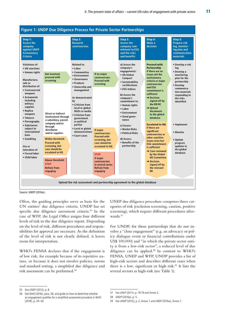

Source: UNDP (2016a).

Often, the guiding principles serve as basis for the UN entities' due diligence criteria. UNDP has set specific due diligence assessment criteria.55 In the case of WFP, the Legal Office assigns four different levels of risk to the due diligence report. Depending on the level of risk, different procedures and responsibilities for approval are necessary. As the definition of the level of risk is not clearly defined, it leaves room for interpretation.

WHO's FENSA declares that if the engagement is of low risk, for example because of its repetitive nature, or because it does not involve policies, norms and standard setting, a simplified due diligence and risk assessment can be performed.56

UNEP due diligence procedure comprises three categories of risk (exclusion screening, caution, positive screening), which require different procedures afterwards.<sup>57</sup>

For UNDP, for those partnerships that do not involve a "close engagement" (e.g. an advocacy or policy dialogue event or financial contributions under US\$ 100,000) and "in which the private sector entity is from a low-risk sector", a reduced level of due diligence can be applied.<sup>58</sup> In contrast to  $WHO's$ FENSA, UNEP and WFP, UNDP provides a list of high-risk sectors and describes different cases when there is a low, significant or high risk.<sup>59</sup> It lists the several sectors as high-risk (see Table 1).

<sup>55</sup> See UNDP (2013), p. 8.

<sup>56</sup> See WHO (2016), para. 28, and guide on how to determine whether an engagement qualifies for a simplified assessment procedure in WHO (2018), p. 29–30.

<sup>57</sup> See UNEP (2011), p. 18-19 and Annex 2.

<sup>58</sup> UNDP (2016a), p. 5.

<sup>59</sup> See UNDP (2013), p. 2, Annex 1 and UNDP (2016a), Annex 1.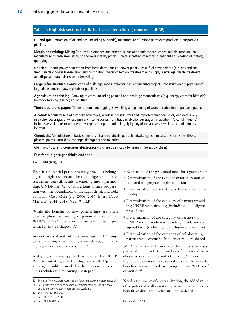#### **Table 1: High-risk sectors for UN-business interactions** (according to UNDP)

**Oil and gas:** Extraction of oil and gas (including oil sands); manufacture of refined petroleum products; transport via pipeline.

**Metals and mining:** Mining (incl. coal, diamonds and other precious and semiprecious stones, metals, uranium, etc.), manufacture of basic iron, steel, non-ferrous metals, precious metals; casting of metals; treatment and coating of metals; quarrying.

**Utilities:** Electric power generation from large dams, nuclear power plants, fossil-fuel power plants (e.g. gas and coalfired); electric power transmission and distribution; water collection, treatment and supply; sewerage; waste treatment and disposal; materials recovery (recycling).

**Large infrastructure:** Construction of buildings, roads, railways, civil engineering projects; construction or upgrading of large dams, nuclear power plants or pipelines.

**Agriculture and fishing:** Growing of crops, including palm oil or other large monocultures (e.g. energy crops for biofuels); livestock farming, fishing; aquaculture.

**Timber, pulp and paper:** Timber production; logging; sawmilling and planning of wood; production of pulp and paper.

**Alcohol:** Manufacturers of alcoholic beverages, wholesale distributors and importers that deal solely and exclusively in alcohol beverages or whose primary income comes from trade in alcohol beverages. In addition, "alcohol industry" includes associations or other entities representing or funded largely by any of the above, as well as alcohol industry lobbyists.

**Chemicals:** Manufacture of basic chemicals, pharmaceuticals, petrochemicals, agrochemicals, pesticides, fertilizers, plastics, paints, varnishes, coatings, detergents and toiletries.

**Clothing, toys and consumer electronics** (risks are due mostly to issues in the supply chain)

**Fast food, high sugar drinks and soda** 

Source: UNDP (2013), p. 6.

Even if a potential partner is categorized as belonging to a high-risk sector, the due diligence and risk assessment can still result in entering into a partnership. UNDP has, *for instance,* a long-lasting cooperation with the Foundation of the sugar drink and soda company Coca-Cola (e.g. 2006–2016: Every Drop Matters, <sup>60</sup> 2014–2018: New World<sup>61</sup>).

While the benefits of new partnerships are often cited, explicit mentioning of potential risks is rare. WHO's FENSA, however, has included a list of potential risks (see chapter 1).<sup>62</sup>

In controversial and risky partnerships, UNDP suggests preparing a risk management strategy and risk management capacity assessment.<sup>63</sup>

A slightly different approach is pursued by UNEP. Prior to initiating a partnership, a so-called 'partner scoping' should be made by the responsible officer. This includes the following six steps:<sup>64</sup>

- **»** Evaluation of the presumed need for a partnership
- **»** Determination of the types of external resources required for projects implementation
- **»** Determination of the nature of the foreseen partnership
- **»** Determination of the category of partner providing UNEP with funding (including due diligence procedure)
- **»** Determination of the category of partner that UNEP will provide with funding in relation to agreed tasks (including due diligence procedure)
- **»** Determination of the category of collaborating partner with whom in-kind resources are shared

WFP has identified three key dimensions to assess partnership impact, the number of additional beneficiaries reached, the reduction of WFP costs and higher efficiencies in core operations and the value to beneficiaries unlocked by strengthening WFP staff capacities.<sup>65</sup>

Needs assessments of an organization, the added value of a potential collaboration/partnership, and costbenefit analysis are rarely outlined in detail.

<sup>60</sup> See <http://www.watergovernance.org/programmes/every-drop-matters/>.

<sup>61</sup> See [https://www.coca-colacompany.com/stories/undp-and-the-coca](https://www.coca-colacompany.com/stories/undp-and-the-coca-cola-foundation-release-report-on-new-world-pr)[cola-foundation-release-report-on-new-world-pr.](https://www.coca-colacompany.com/stories/undp-and-the-coca-cola-foundation-release-report-on-new-world-pr)

<sup>62</sup> See WHO (2016), para. 7.

<sup>63</sup> See UNDP (2013), p. 10.

<sup>64</sup> See UNEP (2011), p. 7ff.

<sup>65</sup> See WFP (2019).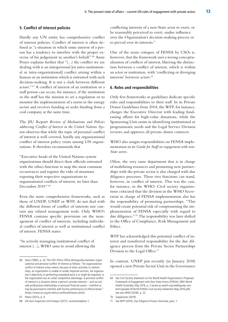#### **5. Conflict of interest policies**

Hardly any UN entity has comprehensive conflict of interest policies. Conflict of interest is often defined as "a situation in which some interest of a person has a tendency to interfere with the proper exercise of his judgement in another's behalf." 66 Anne Peters explains further that "(…) the conflict we are dealing with is an intrapersonal [or intra-institutional or intra-organizational] conflict arising within a human or an institution which is entrusted with such decision-making. It is not a clash between different actors." 67 A conflict of interest of an institution or a staff person can occur, for instance, if the institution or the staff has the mission to set a regulation or to monitor the implementation of a norm in the energy sector and receives funding or seeks funding from a coal company at the same time.

The JIU Report *Review of Mechanisms and Policies addressing Conflict of Interest in the United Nations System* observes that while the topic of personal conflict of interest is well covered, hardly any organizational conflict of interest policy exists among UN organizations. It therefore recommends that

"Executive heads of the United Nations system organizations should direct their officials entrusted with the ethics function to map the most common occurrences and register the risks of situations exposing their respective organizations to organizational conflicts of interest, no later than December 2019." <sup>68</sup>

Even the more comprehensive frameworks, such as those of UNDP, UNEP or WFP, do not deal with the different forms of conflict of interests nor contain any related management tools. Only WHO's FENSA contains specific provisions on the management of conflict of interests, including individual conflict of interest as well as institutional conflict of interest. FENSA states:

"In actively managing institutional conflict of interest (…), WHO aims to avoid allowing the conflicting interests of a non-State actor to exert, or be reasonably perceived to exert, undue influence over the Organization's decision-making process or to prevail over its interests."

One of the main critiques of FENSA by CSOs is, however, that the framework uses a wrong conceptualization of conflicts of interest, blurring the distinction between a conflict of interest, which is within an actor or institution, with 'conflicting or diverging interests' between actors.<sup>69</sup>

#### **6. Roles and responsibilities**

Only few frameworks or guidelines dedicate specific roles and responsibilities to their staff. In its Private Donor Guidelines from 2004, the WFP, for instance, charges the Executive Director with leading fundraising efforts for high-value donations, while the Sponsoring Unit assists in identifying institutional or programmatic needs and the Legal Service Division reviews and approves all private-donor contracts.

WHO also assigns responsibilities on FENSA implementation in its *Guide for Staff on engagement with non-State actors.*

Often, the very same department that is in charge of mobilizing resources and promoting new partnerships with the private sector is also charged with due diligence processes. These two functions can stand, however, in conflict of interest. This was the case, for instance, in the WHO. Civil society organizations criticized that the division in the WHO Secretariat in charge of FENSA implementation also has the responsibility of promoting partnerships. "This would create potential risk of compromising the implementation of FENSA especially with regard to due diligence." 70 The responsibility was later shifted to the Office of Compliance, Risk Management and Ethics.

WFP has acknowledged this potential conflict of interest and transferred responsibility for the due diligence process from the Private Sector Partnerships Division to the Legal Office.<sup>71</sup>

In contrast, UNEP just recently (in January 2018) opened a new Private Sector Unit in the Governance

<sup>66</sup> Davis (1982), p. 20. The UN's Ethics Office distinguishes between organizational and personal conflict of interest as follows: "An organizational conflict of interest arises where, because of other activities or relationships, an organization is unable to render impartial services, the organization's objectivity in performing mandated work is or might be impaired, or the organization has an unfair competitive advantage. A personal conflict of interest is a situation where a person's private interests – such as outside professional relationships or personal financial assets – interfere or may be perceived to interfere with his/her performance of official duties." [\(https://www.un.org/en/ethics/conflictofinterest.shtml](https://www.un.org/en/ethics/conflictofinterest.shtml)).

<sup>67</sup> Peters (2012), p. 4.

<sup>68</sup> UN Joint Inspection Unit/Sukayri (2017), recommendation 1.

<sup>69</sup> See Civil Society Statement on the World Health Organization's Proposed Framework of Engagement with Non-State Actors (FENSA), 69th World Health Assembly, May 2016, p. 2 ([www.ip-watch.org/weblog/wp-con](http://www.ip-watch.org/weblog/wp-content/uploads/2016/05/FENSA-Civil-Society-Statement-May-2016.pdf)[tent/uploads/2016/05/FENSA-Civil-Society-Statement-May-2016.pdf\)](http://www.ip-watch.org/weblog/wp-content/uploads/2016/05/FENSA-Civil-Society-Statement-May-2016.pdf). See also WHO (2018), p. 22.

<sup>70</sup> Gopakumar (2019).

<sup>71</sup> See WFP (2019), Due Diligence Process Overview, para. 1.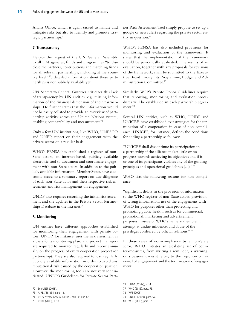Affairs Office, which is again tasked to handle and mitigate risks but also to identify and promote strategic partnerships.72

#### **7. Transparency**

Despite the request of the UN General Assembly to all UN agencies, funds and programmes "to disclose the partners, contributions and matching funds for all relevant partnerships, including at the country level"<sup>73</sup>, detailed information about these partnerships is not publicly available yet.

UN Secretary-General Guterres criticizes this lack of transparency by UN entities, e.g. missing information of the financial dimension of their partnerships. He further states that the information would not be easily collated to provide an overview of partnership activity across the United Nations system, enabling comparability and measurement.<sup>74</sup>

Only a few UN institutions, like WHO, UNESCO and UNEP, report on their engagement with the private sector on a regular basis.

WHO's FENSA has established a register of non-State actors, an internet-based, publicly available electronic tool to document and coordinate engagement with non-State actors. In addition to the publicly available information, Member States have electronic access to a summary report on due diligence of each non-State actor and their respective risk assessment and risk management on engagement.

UNDP also requires recording the initial risk assessment and the updates in the Private Sector Partnerships Database in the intranet.<sup>75</sup>

#### **8. Monitoring**

UN entities have different approaches established for monitoring their engagement with private actors. UNDP, for instance, uses the risk assessment as a basis for a monitoring plan, and project managers are required to monitor regularly and report annually on the progress of every cooperation project (or partnership). They are also required to scan regularly publicly available information in order to avoid any reputational risk caused by the cooperation partner. However, the monitoring tools are not very sophisticated: UNDP's Guidelines for Private Sector Partner Risk Assessment Tool simply propose to set up a google or news alert regarding the private sector entity in question.76

WHO's FENSA has also included provisions for monitoring and evaluation of the framework. It states that the implementation of the framework should be periodically evaluated. The results of an evaluation, together with any proposals for revisions of the framework, shall be submitted to the Executive Board through its Programme, Budget and Administration Committee.<sup>77</sup>

Similarly, WFP's Private Donor Guidelines require that reporting, monitoring and evaluation procedures will be established in each partnership agreement.78

Several UN entities, such as WHO, UNDP and UNICEF, have established exit strategies for the termination of a cooperation in case of non-compliance. UNICEF, for instance, defines the conditions for ending a partnership as follows:

"UNICEF shall discontinue its participation in a partnership if the alliance makes little or no progress towards achieving its objectives and if it or one of its participants violates any of the guiding principles and operational guidelines (…)." <sup>79</sup>

WHO lists the following reasons for non-compliance:

"significant delays in the provision of information to the WHO register of non-State actors; provision of wrong information; use of the engagement with WHO for purposes other than protecting and promoting public health, such as for commercial, promotional, marketing and advertisement purposes; misuse of WHO's name and emblem; attempt at undue influence; and abuse of the privileges conferred by official relations." <sup>80</sup>

In these cases of non-compliance by a non-State actor, WHO initiates an escalating set of counter-measures, from writing a reminder, a warning, or a cease-and-desist letter, to the rejection of renewal of engagement and the termination of engagement.

<sup>72</sup> See UNEP (2018).

<sup>73</sup> A/RES/68/234, para. 13.

<sup>74</sup> UN Secretary-General (2017a), para. 41 and 42.

<sup>75</sup> UNDP (2013), p. 10.

<sup>76</sup> UNDP (2016a), p. 14.

<sup>77</sup> WHO (2016), para. 75.

<sup>78</sup> WFP (2005).

<sup>79</sup> UNICEF (2009), para. 57.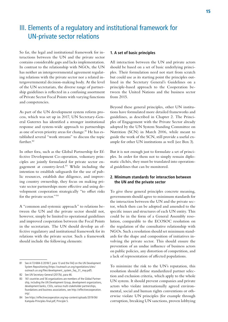# III. Elements of a regulatory and institutional framework for UN-private sector relations

So far, the legal and institutional framework for interactions between the UN and the private sector contains considerable gaps and lacks implementation. In contrast to the relationship with NGOs, the UN has neither an intergovernmental agreement regulating relations with the private sector nor a related intergovernmental decision-making body. At the level of the UN secretariats, the diverse range of partnership guidelines is reflected in a confusing assortment of Private Sector Focal Points with varying functions and competencies.

As part of the UN development system reform process, which was set up in 2017, UN Secretary-General Guterres has identified a stronger institutional response and system-wide approach to partnerships as one of seven priority areas for change.<sup>81</sup> He has established several "work streams" to discuss the topic further.<sup>82</sup>

In other fora, such as the Global Partnership for Effective Development Co-operation, voluntary principles are jointly formulated for private sector engagement at country-level.83 While including the intention to establish safeguards for the use of public resources, establish due diligence, and improving country ownership, they focus on making private sector partnerships more effective and using development cooperation strategically "to offset risks for the private sector." <sup>84</sup>

A "common and systemic approach" to relations between the UN and the private sector should not, however, simply be limited to operational guidelines and improved cooperation between the Focal Points in the secretariats. The UN should develop an effective regulatory and institutional framework for its relations with the private sector. Such a framework should include the following elements:

#### **1. A set of basic principles**

All interaction between the UN and private actors should be based on a set of basic underlying principles. Their formulation need not start from scratch but could use as its starting point the principles outlined in the Secretary General's Guidelines on a principle-based approach to the Cooperation between the United Nations and the business sector from 2015.

Beyond these general principles, other UN institutions have formulated more detailed frameworks and guidelines, as described in Chapter 2. The Principles of Engagement with the Private Sector already adopted by the UN System Standing Committee on Nutrition (SCN) in March 2006, while meant to guide the work of the SCN, still provide a useful example for other UN institutions as well (see Box 3).

But it is not enough just to formulate a set of principles. In order for them not to simply remain diplomatic clichés, they must be translated into operational guidelines that can be monitored.

#### **2. Minimum standards for interaction between the UN and the private sector**

To give these general principles concrete meaning, governments should agree to minimum standards for the interaction between the UN and the private sector, which then can be adopted and amended to the specific issues and structures of each UN entity. This could be in the form of a General Assembly resolution, comparable to the ECOSOC resolution on the regulation of the consultative relationship with NGOs. Such a resolution should set minimum standards for the shape and composition of initiatives involving the private sector. This should ensure the prevention of an undue influence of business actors on public policies, any distortion of competition, and a lack of representation of affected populations.

To minimize the risk to the UN's reputation, this resolution should define standardized partner selection and exclusion criteria, which apply to the whole UN system. It should prevent companies and private actors who violate internationally agreed environmental, social and human rights conventions or otherwise violate UN principles (for example through corruption, breaking UN sanctions, proven lobbying

<sup>81</sup> See A/72/684-E/2018/7, para 13 and the FAQ on the UN Development System Repositioning ([https://outreach.un.org/ngorelations/sites/](https://outreach.un.org/ngorelations/sites/outreach.un.org/files/development_system_faq_31_may.pdf) [outreach.un.org/files/development\\_system\\_faq\\_31\\_may.pdf](https://outreach.un.org/ngorelations/sites/outreach.un.org/files/development_system_faq_31_may.pdf)).

<sup>82</sup> See UN Secretary-General (2017b), para 46.

<sup>83 161</sup> countries and 56 organizations are members of the Global Partnership, including the UN Development Group, development organizations, development banks, CSOs, various multi-stakeholder partnerships, foundations and business associations, see [http://effectivecooperation.](http://effectivecooperation.org/) [org/.](http://effectivecooperation.org/)

<sup>84</sup> See [https://effectivecooperation.org/wp-content/uploads/2019/06/](https://effectivecooperation.org/wp-content/uploads/2019/06/Kampala-Principles-final.pdf) [Kampala-Principles-final.pdf](https://effectivecooperation.org/wp-content/uploads/2019/06/Kampala-Principles-final.pdf), Principle 5.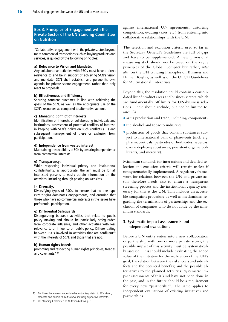#### **Box 3: Principles of Engagement with the Private Sector of the UN Standing Committee on Nutrition**

"Collaborative engagement with the private sector, beyond mere commercial transactions such as buying products and services, is guided by the following principles:

#### **a) Relevance to Vision and Mandate:**

Any collaborative activities with PSOs must have a direct relevance to and be in support of achieving SCN's vision and mandate. SCN shall establish and pursue its own agenda for private sector engagement, rather than only react to proposals.

#### **b) Effectiveness and Efficiency:**

Securing concrete outcomes in line with achieving the goals of the SCN, as well as the appropriate use of the SCN's resources as compared to alternative actions.

#### **c) Managing Conflict of Interests:**

Identification of interests of collaborating individuals and institutions, assessment of potential conflicts of interest, in keeping with SCN's policy on such conflicts (…) and subsequent management of these or exclusion from participation.

#### **d) Independence from vested interest:**

Maintaining the credibility of SCN by ensuring independence from commercial interests.

#### **e) Transparency:**

While respecting individual privacy and institutional confidentiality, as appropriate, the aim must be for all interested persons to easily obtain information on the activities, including through posting on websites.

#### **f) Diversity:**

Diversifying types of PSOs, to ensure that no one type (size/origin) dominates engagements, and ensuring that those who have no commercial interests in the issues have preferential participation.

#### **g) Differential Safeguards:**

Distinguishing between activities that relate to public policy making and should be particularly safeguarded from corporate influence, and other activities with less relevance to or influence on public policy. Differentiating between PSOs involved in activities that are confluent<sup>85</sup> with the interests of SCN, and those that are not.

#### **h) Human rights based:**

promoting and respecting human rights principles, treaties and covenants." 86

against international UN agreements, distorting competition, evading taxes, etc.) from entering into collaborative relationships with the UN.

The selection and exclusion criteria used so far in the Secretary General's Guidelines are full of gaps and have to be supplemented. A new provisional measuring stick should not be based on the vague principles of the Global Compact but rather, *inter alia,* on the UN Guiding Principles on Business and Human Rights, as well as on the OECD Guidelines for Multinational Enterprises.

Beyond this, the resolution could contain a consolidated list of product areas and business sectors, which are fundamentally off limits for UN-business relations. These should include, but not be limited to, *inter alia:*

- **»** arms production and trade, including components
- **»** the alcohol and tobacco industries
- **»** production of goods that contain substances subject to international bans or phase-outs (incl. e.g. pharmaceuticals, pesticides or herbicides, asbestos, ozone depleting substances, persistent organic pollutants, and mercury).

Minimum standards for interactions and detailed selection and exclusion criteria will remain useless if not systematically implemented. A regulatory framework for relations between the UN and private actors therefore needs also to ensure a transparent screening process and the institutional capacity necessary for this at the UN. This includes an accessible complaints procedure as well as mechanisms regarding the termination of partnerships and the exclusion of companies who do not abide by the minimum standards.

#### **3. Systematic impact assessments and independent evaluations**

Before a UN entity enters into a new collaboration or partnership with one or more private actors, the possible impact of this activity must be systematically assessed. This should include evaluating the added value of the initiative for the realization of the UN's goal; the relation between the risks, costs and side effects and the potential benefits; and the possible alternatives to the planned activities. Systematic impact assessments of this kind have not been done in the past, and in the future should be a requirement for every new "partnership". The same applies to independent evaluations of existing initiatives and partnerships.

<sup>85</sup> Confluent here means not only to be 'not antagonistic' to SCN vision, mandate and principles, but to have mutually supportive interests.

<sup>86</sup> UN Standing Committee on Nutrition (2006), p. 6.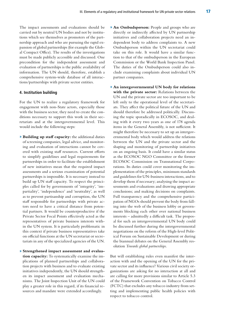The impact assessments and evaluations should be carried out by neutral UN bodies and not by institutions which see themselves as promoters of the partnership approach and who are pursuing the rapid expansion of global partnerships (for example the Global Compact Office). The results of the investigations must be made publicly accessible and discussed. One precondition for the independent assessment and evaluation of partnerships is the public availability of information. The UN should, therefore, establish a comprehensive system-wide database of all interactions/partnerships with private sector entities.

#### **4. Institution building**

For the UN to realize a regulatory framework for engagement with non-State actors, especially those with the business sector, they need to create the conditions necessary to support this work in their secretariats and at the intergovernmental level. This would include the following steps:

**» Building up staff capacity:** the additional duties of screening companies, legal advice, and monitoring and evaluation of interactions cannot be covered with existing staff resources. Current efforts to simplify guidelines and legal requirements for partnerships in order to facilitate the establishment of new initiatives mean that the required impact assessments and a serious examination of potential partnerships is impossible. It is necessary instead to build up UN staff capacity. To respect the principles called for by governments of 'integrity', 'impartiality', 'independence' and 'neutrality', as well as to prevent partisanship and corruption, the UN staff responsible for partnerships with private actors need to have a critical distance from potential partners. It would be counterproductive if the Private Sector Focal Points effectively acted as the representatives of private business interests within the UN system. It is particularly problematic in this context if private business representatives take on official functions at the UN secretariat or secretariats in any of the specialized agencies of the UN.

**» Strengthened impact assessment and evaluation capacity:** To systematically examine the implications of planned partnerships and collaboration projects with business and to evaluate existing initiatives independently, the UN should strengthen its impact assessment and evaluation mechanisms. The Joint Inspection Unit of the UN could play a greater role in this regard, if its financial resources and mandate were extended accordingly.

- **» An Ombudsperson:** People and groups who are directly or indirectly affected by UN partnership initiatives and collaboration projects need an independent body to address complaints to. A new Ombudsperson within the UN secretariat could take on this role. It would have a similar function to that of the ombudsperson in the European Commission or the World Bank Inspection Panel. The duties of the Ombudsperson could also include examining complaints about individual UN partner companies.
- **» An intergovernmental UN body for relations with the private sector:** Relations between the UN and the private sector are too important to be left only to the operational level of the secretariats. They affect the political future of the UN and should therefore be addressed politically. Discussing the topic sporadically in ECOSOC, and dealing with it every two years as one of 178 agenda items in the General Assembly, is not sufficient. It might therefore be necessary to set up an intergovernmental body which would address the relations between the UN and the private sector and the shaping and monitoring of partnership initiatives on an ongoing basis. It could have a similar status as the ECOSOC NGO Committee or the former ECOSOC Commission on Transnational Corporations. Its duties could cover monitoring the implementation of the principles, minimum standards and guidelines for UN-business interactions, and to develop them if necessary; analysing the impact assessments and evaluations and drawing appropriate conclusions; and making decisions on complaints. Full transparency and the comprehensive participation of NGOs should prevent the body from falling into the web of the business lobby or governments blocking each other over national business interests – admittedly a difficult task. The proposal for such an intergovernmental UN body could be discussed further during the intergovernmental negotiations on the reform of the High-level Political Forum on Sustainable Development or during the biannual debates on the General Assembly resolution *Towards global partnerships.*

But will establishing rules even manifest the interaction with and the opening of the UN for the private sector and its influence? Various civil society organizations are asking for no interaction at all and are calling for more provisions similar to Article 5.3 of the Framework Convention on Tobacco Control (FCTC) that excludes any tobacco industry from setting and implementing public health policies with respect to tobacco control.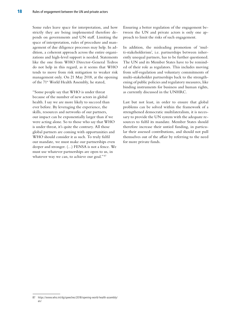Some rules leave space for interpretation, and how strictly they are being implemented therefore depends on governments and UN staff. Limiting the space of interpretation, rules of procedure and management of due diligence processes may help. In addition, a coherent approach across the entire organizations and high-level support is needed. Statements like the one from WHO Director-General Tedros do not help in this regard, as it seems that WHO tends to move from risk mitigation to weaker risk management only. On 21 May 2018, at the opening of the 71<sup>st</sup> World Health Assembly, he stated,

"Some people say that WHO is under threat because of the number of new actors in global health. I say we are more likely to succeed than ever before. By leveraging the experience, the skills, resources and networks of our partners, our impact can be exponentially larger than if we were acting alone. So to those who say that WHO is under threat, it's quite the contrary. All those global partners are coming with opportunities and WHO should consider it as such. To truly fulfil our mandate, we must make our partnerships even deeper and stronger. (…) FENSA is not a fence. We must use whatever partnerships are open to us, in whatever way we can, to achieve our goal."<sup>87</sup>

Ensuring a better regulation of the engagement between the UN and private actors is only one approach to limit the risks of such engagement.

In addition, the misleading promotion of 'multi-stakeholderism', i.e. partnerships between inherently unequal partners, has to be further questioned. The UN and its Member States have to be reminded of their role as regulators. This includes moving from self-regulation and voluntary commitments of multi-stakeholder partnerships back to the strengthening of public policies and regulatory measures, like binding instruments for business and human rights, as currently discussed in the UNHRC.

Last but not least, in order to ensure that global problems can be solved within the framework of a strengthened democratic multilateralism, it is necessary to provide the UN system with the adequate resources to fulfil its mandate. Member States should therefore increase their untied funding, in particular their assessed contributions, and should not pull themselves out of the affair by referring to the need for more private funds.

<sup>87</sup> [https://www.who.int/dg/speeches/2018/opening-world-health-assembly/](https://www.who.int/dg/speeches/2018/opening-world-health-assembly/en/) [en/](https://www.who.int/dg/speeches/2018/opening-world-health-assembly/en/)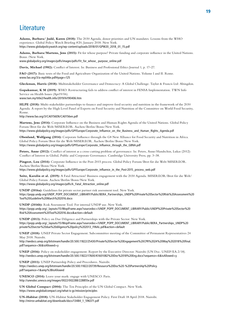## Literature

**Adams, Barbara/ Judd, Karen (2018):** The 2030 Agenda, donor priorities and UN mandates. Lessons from the WHO experience. Global Policy Watch Briefing #20, January 2018. New York. [https://www.globalpolicywatch.org/wp-content/uploads/2018/01/GPW20\\_2018\\_01\\_15.pdf](https://www.globalpolicywatch.org/wp-content/uploads/2018/01/GPW20_2018_01_15.pdf)

**Adams, Barbara/Martens, Jens (2015):** Fit for whose purpose? Private funding and corporate influence in the United Nations. Bonn /New York.

[www.globalpolicy.org/images/pdfs/images/pdfs/Fit\\_for\\_whose\\_ purpose\\_online.pdf](http://www.globalpolicy.org/images/pdfs/images/pdfs/Fit_for_whose_ purpose_online.pdf)

**Davis, Michael (1982):** Conflict of Interest. In: Business and Professional Ethics Journal 1, p. 17–27.

**FAO (2017):** Basic texts of the Food and Agriculture Organization of the United Nations. Volume I and II. Rome. [www.fao.org/3/a-mp046e.pdf#page=125](http://www.fao.org/3/a-mp046e.pdf#page=125)

**Gleckman, Harris (2018):** Multistakeholder Governance and Democracy: A Global Challenge. Taylor & Francis Ltd: Abingdon.

**Gopakumar, K M (2019):** WHO: Restructuring fails to address conflict of interest in FENSA Implementation. TWN Info Service on Health Issues (Apr19/06). [www.twn.my/title2/health.info/2019/hi190406.htm](http://www.twn.my/title2/health.info/2019/hi190406.htm) 

**HLPE (2018):** Multi-stakeholder partnerships to finance and improve food security and nutrition in the framework of the 2030 Agenda. A report by the High Level Panel of Experts on Food Security and Nutrition of the Committee on World Food Security, Rome.

<http://www.fao.org/3/CA0156EN/CA0156en.pdf>

**Martens, Jens (2014):** Corporate Influence on the Business and Human Rights Agenda of the United Nations. Global Policy Forum/Brot für die Welt/MISEREOR. Aachen/Berlin/Bonn/New York. [https://www.globalpolicy.org/images/pdfs/GPFEurope/Corporate\\_Influence\\_on\\_the\\_Business\\_and\\_Human\\_Rights\\_Agenda.pdf](https://www.globalpolicy.org/images/pdfs/GPFEurope/Corporate_Influence_on_the_Business_and_Human_Rights_Agenda.pdf)

**Obenland, Wolfgang (2014):** Corporate Influence through the G8 New Alliance for Food Security and Nutrition in Africa. Global Policy Forum/Brot für die Welt/MISEREOR. Aachen/Berlin/Bonn/New York. [https://www.globalpolicy.org/images/pdfs/GPFEurope/Corporate\\_Influence\\_through\\_the\\_G8NA.pdf](https://www.globalpolicy.org/images/pdfs/GPFEurope/Corporate_Influence_through_the_G8NA.pdf)

**Peters, Anne (2012):** Conflict of interest as a cross-cutting problem of governance. In: Peters, Anne/Handschin, Lukas (2012): Conflict of Interest in Global, Public and Corporate Governance. Cambridge University Press, pp. 3–38.

**Pingeot, Lou (2014):** Corporate Influence in the Post-2015 process. Global Policy Forum/Brot für die Welt/MISEREOR. Aachen/Berlin/Bonn/New York.

[https://www.globalpolicy.org/images/pdfs/GPFEurope/Corporate\\_influence\\_in\\_the\\_Post-2015\\_process\\_web.pdf](https://www.globalpolicy.org/images/pdfs/GPFEurope/Corporate_influence_in_the_Post-2015_process_web.pdf)

**Seitz, Karolin et al. (2019):** A Fatal Attraction? Business engagement with the 2030 Agenda. MISEREOR/Brot für die Welt/ Global Policy Forum. Aachen/Berlin/Bonn/New York. [https://www.globalpolicy.org/images/pdfs/A\\_Fatal\\_Attraction\\_online.pdf](https://www.globalpolicy.org/images/pdfs/A_Fatal_Attraction_online.pdf) 

**UNDP (2016a):** Guidelines for private sector partner risk assessment tool. New York.

[https://popp.undp.org/UNDP\\_POPP\\_DOCUMENT\\_LIBRARY/Public/BERA\\_Partnerships\\_UNDP%](https://popp.undp.org/UNDP_POPP_DOCUMENT_LIBRARY/Public/BERA_Partnerships_UNDP%20Private%20Sector%20Risk%20Assessment%20Tool%20Guideline%20March%202016.docx)20Private%20Sector%20Risk%20Assessment%20 Tool%20Guideline%20March%202016.docx

**UNDP (2016b):** Risk Assessment Tool. For internal UNDP use. New York. [https://popp.undp.org/\\_layouts/15/WopiFrame.aspx?sourcedoc=/UNDP\\_POPP\\_DOCUMENT\\_LIBRARY/Public/UNDP](https://popp.undp.org/_layouts/15/WopiFrame.aspx?sourcedoc=/UNDP_POPP_DOCUMENT_LIBRARY/Public/UNDP%20Private%20Sector%20Risk%20Assessment%20Tool%202016.docx&action=default)%20Private%20Sector%20 Risk%20Assessment%20Tool%202016.docx&action=default

**UNDP (2013):** Policy on Due Diligence and Partnerships with the Private Sector. New York. [https://popp.undp.org/\\_layouts/15/WopiFrame.aspx?sourcedoc=/UNDP\\_POPP\\_DOCUMENT\\_LIBRARY/Public/BERA\\_Partnerships\\_UNDP](https://popp.undp.org/_layouts/15/WopiFrame.aspx?sourcedoc=/UNDP_POPP_DOCUMENT_LIBRARY/Public/BERA_Partnerships_UNDP%20private%20sector%20due%20diligence%20policy%202013_FINAL.pdf&action=default)%20 private%20sector%20due%20diligence%20policy%202013\_FINAL.pdf&action=default

**UNEP (2018):** UNEP Private Sector Engagement. Subcommittee meeting of the Committee of Permanent Representatives 24 May 2018. Nairobi.

[http://wedocs.unep.org/bitstream/handle/20.500.11822/25430/Private%20Sector%20Engagement%20CPR%2024%20May%202018%20final.](http://wedocs.unep.org/bitstream/handle/20.500.11822/25430/Private%20Sector%20Engagement%20CPR%2024%20May%202018%20final.pdf?sequence=36&isAllowed=y) [pdf?sequence=36&isAllowed=y](http://wedocs.unep.org/bitstream/handle/20.500.11822/25430/Private%20Sector%20Engagement%20CPR%2024%20May%202018%20final.pdf?sequence=36&isAllowed=y)

**UNEP (2016):** Policy on stakeholder engagement. Report by the Executive Director. Nairobi (UN Doc. UNEP/EA.2/18). <http://wedocs.unep.org/bitstream/handle/20.500.11822/17600/K1601082%20Doc%2018%20Eng.docx?sequence=6&isAllowed=y>

**UNEP (2011):** UNEP Partnership Policy and Procedures. Nairobi. [https://wedocs.unep.org/bitstream/handle/20.500.11822/20739/Resource%20Doc%20-%20Partnership%20Policy.](https://wedocs.unep.org/bitstream/handle/20.500.11822/20739/Resource%20Doc%20-%20Partnership%20Policy.pdf?sequence=1&%3BisAllowed) [pdf?sequence=1&amp%3BisAllowed](https://wedocs.unep.org/bitstream/handle/20.500.11822/20739/Resource%20Doc%20-%20Partnership%20Policy.pdf?sequence=1&%3BisAllowed)

**UNESCO (2014):** Leave your mark: engage with UNESCO. Paris. <http://unesdoc.unesco.org/images/0022/002288/228855e.pdf>

**UN Global Compact (2004):** The Ten Principles of the UN Global Compact. New York. <https://www.unglobalcompact.org/what-is-gc/mission/principles>

**UN-Habitat (2018):** UN-Habitat Stakeholder Engagement Policy. First Draft 18 April 2018. Nairobi. [http://mirror.unhabitat.org/downloads/docs/13484\\_1\\_596371.pdf](http://mirror.unhabitat.org/downloads/docs/13484_1_596371.pdf)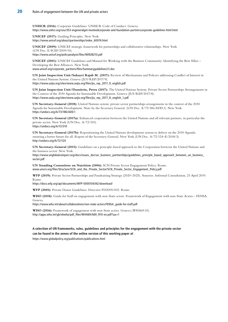**UNHCR (2016):** Corporate Guidelines. UNHCR Code of Conduct. Geneva. <https://www.unhcr.org/ceu/353-engeneralget-involvedcorporate-and-foundation-partnerscorporate-guidelines-html.html>

**UNICEF (2017):** Guiding Principles. New York. [https://www.unicef.org/about/partnerships/index\\_60074.html](https://www.unicef.org/about/partnerships/index_60074.html)

**UNICEF (2009):** UNICEF strategic framework for partnerships and collaborative relationships. New York (UN Doc. E/ICEF/2009/10). <https://www.unicef.org/policyanalysis/files/N0928210.pdf>

**UNICEF (2001):** UNICEF Guidelines and Manual for Working with the Business Community. Identifying the Best Allies – Developing the Best Alliances. New York. [www.unicef.org/corporate\\_partners/files/Summaryguidelines\(1\).doc](http://www.unicef.org/corporate_partners/files/Summaryguidelines(1).doc)

**UN Joint Inspection Unit/Sukayri Rajab M. (2017):** Review of Mechanisms and Policies addressing Conflict of Interest in the United Nations System. Geneva (JUI/REP/2017/9). [https://www.unjiu.org/sites/www.unjiu.org/files/jiu\\_rep\\_2017\\_9\\_english.pdf](https://www.unjiu.org/sites/www.unjiu.org/files/jiu_rep_2017_9_english.pdf)

**UN Joint Inspection Unit/Dumitriu, Petru (2017):** The United Nations System: Private Sector Partnerships Arrangements in the Context of the 2030 Agenda for Sustainable Development. Geneva (JUI/REP/2017/8). [https://www.unjiu.org/sites/www.unjiu.org/files/jiu\\_rep\\_2017\\_8\\_english\\_1.pdf](https://www.unjiu.org/sites/www.unjiu.org/files/jiu_rep_2017_8_english_1.pdf)

**UN Secretary-General (2018):** United Nations system: private sector partnerships arrangements in the context of the 2030 Agenda for Sustainable Development. Note by the Secretary General. (UN Doc. A/73/186/ADD.1). New York. <https://undocs.org/A/73/186/ADD.1>

**UN Secretary-General (2017a):** Enhanced cooperation between the United Nations and all relevant partners, in particular the private sector. New York (UN Doc. A/72/310). <https://undocs.org/A/72/310>

**UN Secretary-General (2017b):** Repositioning the United Nations development system to deliver on the 2030 Agenda: ensuring a better future for all. Report of the Secretary-General. New York (UN Doc. A/72/124–E/2018/3). <http://undocs.org/A/72/124>

**UN Secretary-General (2015):** Guidelines on a principle-based approach to the Cooperation between the United Nations and the business sector. New York.

[https://www.unglobalcompact.org/docs/issues\\_doc/un\\_business\\_partnerships/guidelines\\_principle\\_based\\_approach\\_between\\_un\\_business\\_](https://www.unglobalcompact.org/docs/issues_doc/un_business_partnerships/guidelines_principle_based_approach_between_un_business_sector.pdf) [sector.pdf](https://www.unglobalcompact.org/docs/issues_doc/un_business_partnerships/guidelines_principle_based_approach_between_un_business_sector.pdf)

**UN Standing Committee on Nutrition (2006):** SCN Private Sector Engagement Policy. Rome. [www.unscn.org/files/Structure/SCN\\_and\\_the\\_Private\\_Sector/SCN\\_Private\\_Sector\\_Engagement\\_Policy.pdf](http://www.unscn.org/files/Structure/SCN_and_the_Private_Sector/SCN_Private_Sector_Engagement_Policy.pdf)

**WFP (2019):** Private Sector Partnerships and Fundraising Strategy (2020–2025). Annexes. Informal Consultation, 23 April 2019. Rome.

[https://docs.wfp.org/api/documents/WFP-0000104342/download/](https://docs.wfp.org/api/documents/WFP-0000104342/download)

**WFP (2005):** Private Donor Guidelines. Directive FD2005/002. Rome.

**WHO (2018):** Guide for Staff on engagement with non-State actors. Framework of Engagement with non-State Actors – FENSA. Geneva.

[https://www.who.int/about/collaborations/non-state-actors/FENSA\\_guide-for-staff.pdf](https://www.who.int/about/collaborations/non-state-actors/FENSA_guide-for-staff.pdf)

**WHO (2016):** Framework of engagement with non-State actors. Geneva (WHA69.10). [http://apps.who.int/gb/ebwha/pdf\\_files/WHA69/A69\\_R10-en.pdf?ua=1](http://apps.who.int/gb/ebwha/pdf_files/WHA69/A69_R10-en.pdf?ua=1)

#### **A selection of UN frameworks, rules, guidelines and principles for the engagement with the private sector can be found in the annex of the online version of this working paper at**

<https://www.globalpolicy.org/publications/publications.html>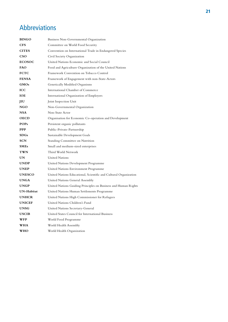# Abbreviations

| <b>BINGO</b>  | Business Non-Governmental Organization                           |
|---------------|------------------------------------------------------------------|
| <b>CFS</b>    | Committee on World Food Security                                 |
| <b>CITES</b>  | Convention on International Trade in Endangered Species          |
| <b>CSO</b>    | Civil Society Organization                                       |
| <b>ECOSOC</b> | United Nations Economic and Social Council                       |
| FAO           | Food and Agriculture Organization of the United Nations          |
| <b>FCTC</b>   | Framework Convention on Tobacco Control                          |
| <b>FENSA</b>  | Framework of Engagement with non-State-Actors                    |
| <b>GMOs</b>   | Genetically Modified Organisms                                   |
| <b>ICC</b>    | International Chamber of Commerce                                |
| <b>IOE</b>    | International Organization of Employers                          |
| JIU           | Joint Inspection Unit                                            |
| NGO           | Non-Governmental Organization                                    |
| <b>NSA</b>    | Non-State Actor                                                  |
| <b>OECD</b>   | Organisation for Economic Co-operation and Development           |
| <b>POPs</b>   | Persistent organic pollutants                                    |
| <b>PPP</b>    | Public-Private-Partnership                                       |
| SDGs          | Sustainable Development Goals                                    |
| <b>SCN</b>    | <b>Standing Committee on Nutrition</b>                           |
| <b>SMEs</b>   | Small and medium-sized enterprises                               |
| <b>TWN</b>    | Third World Network                                              |
| UN            | <b>United Nations</b>                                            |
| <b>UNDP</b>   | United Nations Development Programme                             |
| <b>UNEP</b>   | United Nations Environment Programme                             |
| <b>UNESCO</b> | United Nations Educational, Scientific and Cultural Organization |
| <b>UNGA</b>   | United Nations General Assembly                                  |
| <b>UNGP</b>   | United Nations Guiding Principles on Business and Human Rights   |
| UN-Habitat    | United Nations Human Settlements Programme                       |
| <b>UNHCR</b>  | United Nations High Commissioner for Refugees                    |
| <b>UNICEF</b> | United Nations Children's Fund                                   |
| <b>UNSG</b>   | United Nations Secretary-General                                 |
| <b>USCIB</b>  | United States Council for International Business                 |
| WFP           | World Food Programme                                             |
| WHA           | World Health Assembly                                            |
| <b>WHO</b>    | World Health Organization                                        |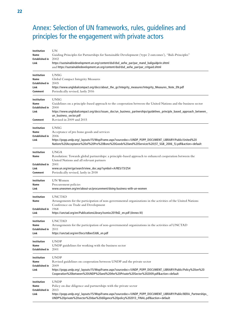# Annex: Selection of UN frameworks, rules, guidelines and principles for the engagement with private actors

| Institution<br>Name<br>Established in<br>Link            | UN<br>Guiding Principles for Partnerships for Sustainable Development ('type 2 outcomes'), "Bali-Principles"<br>2002<br>https://sustainabledevelopment.un.org/content/dsd/dsd_aofw_par/par_mand_baliguidprin.shtml<br>and https://sustainabledevelopment.un.org/content/dsd/dsd_aofw_par/par_critguid.shtml          |
|----------------------------------------------------------|----------------------------------------------------------------------------------------------------------------------------------------------------------------------------------------------------------------------------------------------------------------------------------------------------------------------|
| Institution<br>Name<br>Established in<br>Link<br>Comment | <b>UNSG</b><br>Global Compact Integrity Measures<br>2005<br>https://www.unglobalcompact.org/docs/about_the_gc/Integrity_measures/Integrity_Measures_Note_EN.pdf<br>Periodically revised, lastly 2016                                                                                                                 |
| Institution<br>Name<br>Established in<br>Link<br>Comment | <b>UNSG</b><br>Guidelines on a principle-based approach to the cooperation between the United Nations and the business sector<br>2000<br>https://www.unglobalcompact.org/docs/issues_doc/un_business_partnerships/guidelines_principle_based_approach_between_<br>un_business_sector.pdf<br>Revised in 2009 and 2015 |
| Institution<br>Name<br>Established in<br>Link            | UNSG<br>Acceptance of pro bono goods and services<br>2006<br>https://popp.undp.org/_layouts/15/WopiFrame.aspx?sourcedoc=/UNDP_POPP_DOCUMENT_LIBRARY/Public/United%20<br>Nations%20Acceptance%20of%20Pro%20Bono%20Goods%20and%20Services%20(ST_SGB_2006_5).pdf&action=default                                         |
| Institution<br>Name<br>Established in<br>Link<br>Comment | <b>UNGA</b><br>Resolution: Towards global partnerships: a principle-based approach to enhanced cooperation between the<br>United Nations and all relevant partners<br>2001<br>www.un.org/en/ga/search/view_doc.asp?symbol=A/RES/73/254<br>Periodically revised, lastly in 2018                                       |
| Institution<br>Name<br>Link                              | UN Women<br>Procurement policies<br>www.unwomen.org/en/about-us/procurement/doing-business-with-un-women                                                                                                                                                                                                             |
| Institution<br>Name<br>Established in<br>Link            | <b>UNCTAD</b><br>Arrangements for the participation of non-governmental organizations in the activities of the United Nations<br>Conference on Trade and Development<br>1968<br>https://unctad.org/en/PublicationsLibrary/issmisc2019d2_en.pdf (Annex III)                                                           |
| Institution<br>Name<br><b>Established in</b><br>Link     | <b>UNCTAD</b><br>Arrangements for the participation of non-governmental organizations in the activities of UNCTAD<br>2011<br>https://unctad.org/en/Docs/tdbex53d6_en.pdf                                                                                                                                             |
| Institution<br>Name<br>Established in                    | <b>UNDP</b><br>UNDP guidelines for working with the business sector<br>2001                                                                                                                                                                                                                                          |
| Institution<br>Name<br>Established in<br>Link            | UNDP<br>Revised guidelines on cooperation between UNDP and the private sector<br>2009<br>https://popp.undp.org/_layouts/15/WopiFrame.aspx?sourcedoc=/UNDP_POPP_DOCUMENT_LIBRARY/Public/Policy%20on%20<br>Cooperation%20between%20UNDP%20and%20the%20Private%20Sector%202009.pdf&action=default                       |
| Institution<br>Name<br>Established in<br>Link            | <b>UNDP</b><br>Policy on due diligence and partnerships with the private sector<br>2013<br>https://popp.undp.org/_layouts/15/WopiFrame.aspx?sourcedoc=/UNDP_POPP_DOCUMENT_LIBRARY/Public/BERA_Partnerships_<br>UNDP%20private%20sector%20due%20diligence%20policy%202013_FINAL.pdf&action=default                    |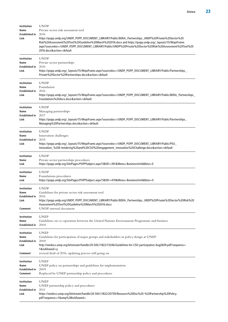| Institution<br>Name<br><b>Established in</b><br>Link     | <b>UNDP</b><br>Private sector risk assessment tool<br>2016<br>https://popp.undp.org/UNDP_POPP_DOCUMENT_LIBRARY/Public/BERA_Partnerships_UNDP%20Private%20Sector%20<br>Risk%20Assessment%20Tool%20Guideline%20March%202016.docx and https://popp.undp.org/_layouts/15/WopiFrame.<br>aspx?sourcedoc=/UNDP_POPP_DOCUMENT_LIBRARY/Public/UNDP%20Private%20Sector%20Risk%20Assessment%20Tool%20<br>2016.docx&action=default |
|----------------------------------------------------------|------------------------------------------------------------------------------------------------------------------------------------------------------------------------------------------------------------------------------------------------------------------------------------------------------------------------------------------------------------------------------------------------------------------------|
| Institution<br>Name<br>Established in<br>Link            | <b>UNDP</b><br>Private sector partnerships<br>2016<br>https://popp.undp.org/_layouts/15/WopiFrame.aspx?sourcedoc=/UNDP_POPP_DOCUMENT_LIBRARY/Public/Partnerships_<br>Private%20Sector%20Partnerships.docx&action=default                                                                                                                                                                                               |
| Institution<br>Name<br>Established in<br>Link            | <b>UNDP</b><br>Foundation<br>2016<br>https://popp.undp.org/_layouts/15/WopiFrame.aspx?sourcedoc=/UNDP_POPP_DOCUMENT_LIBRARY/Public/BERA_Partnerships_<br>Foundations%20docx.docx&action=default                                                                                                                                                                                                                        |
| Institution<br>Name<br>Established in<br>Link            | <b>UNDP</b><br>Managing partnerships<br>2017<br>https://popp.undp.org/_layouts/15/WopiFrame.aspx?sourcedoc=/UNDP_POPP_DOCUMENT_LIBRARY/Public/Partnerships_<br>Managing%20Partnerships.docx&action=default                                                                                                                                                                                                             |
| Institution<br>Name<br>Established in<br>Link            | <b>UNDP</b><br>Innovation challenges<br>2015<br>https://popp.undp.org/_layouts/15/WopiFrame.aspx?sourcedoc=/UNDP_POPP_DOCUMENT_LIBRARY/Public/PSU_<br>Innovation_%20E-tendering%20and%20CSO%20engagement_Innovation%20Challenge.docx&action=default                                                                                                                                                                    |
| Institution<br>Name<br>Link                              | <b>UNDP</b><br>Private sector partnerships procedures<br>https://popp.undp.org/SitePages/POPPSubject.aspx?SBJID=391&Menu=BusinessUnitΒ=0                                                                                                                                                                                                                                                                               |
| Institution<br>Name<br>Link                              | <b>UNDP</b><br>Foundations procedures<br>https://popp.undp.org/SitePages/POPPSubject.aspx?SBJID=419&Menu=BusinessUnitΒ=0                                                                                                                                                                                                                                                                                               |
| Institution<br>Name<br>Established in<br>Link<br>Comment | <b>UNDP</b><br>Guidelines for private sector risk assessment tool<br>2016<br>https://popp.undp.org/UNDP_POPP_DOCUMENT_LIBRARY/Public/BERA_Partnerships_UNDP%20Private%20Sector%20Risk%20<br>Assessment%20Tool%20Guideline%20March%202016.docx<br>UNDP internal document                                                                                                                                                |
| Institution<br>Name<br>Established in                    | <b>UNEP</b><br>Guidelines on co-operation between the United Nations Environment Programme and business<br>2004                                                                                                                                                                                                                                                                                                        |
| Institution<br>Name<br>Established in<br>Link<br>Comment | <b>UNEP</b><br>Guidelines for participation of major groups and stakeholders in policy design at UNEP<br>2009<br>http://wedocs.unep.org/bitstream/handle/20.500.11822/13246/Guidelines-for-CSO-participation-Aug2609.pdf?sequence=<br>$1&$ is Allowed = $y$<br>revised draft of 2016, updating process still going on                                                                                                  |
| Institution<br>Name<br>Established in<br>Comment         | <b>UNEP</b><br>UNEP policy on partnerships and guidelines for implementation<br>2009<br>Replaced by UNEP partnership policy and procedures                                                                                                                                                                                                                                                                             |
| Institution<br>Name<br>Established in<br>Link            | <b>UNEP</b><br>UNEP partnership policy and procedures<br>2011<br>https://wedocs.unep.org/bitstream/handle/20.500.11822/20739/Resource%20Doc%20-%20Partnership%20Policy.<br>pdf?sequence=1&%3BisAllowed=                                                                                                                                                                                                                |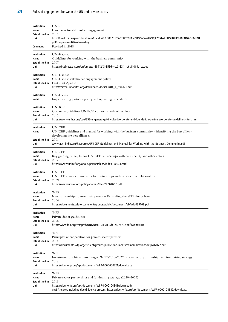| Institution<br>Name<br>Established in<br>Link<br>Comment | <b>UNEP</b><br>Handbook for stakeholder engagement<br>2015<br>http://wedocs.unep.org/bitstream/handle/20.500.11822/26862/HANDBOOK%20FOR%20STAKEHOLDER%20ENGAGEMENT.<br>pdf?sequence=1&isAllowed=y<br>Revised in 2018                                       |
|----------------------------------------------------------|------------------------------------------------------------------------------------------------------------------------------------------------------------------------------------------------------------------------------------------------------------|
| Institution                                              | UN-Habitat                                                                                                                                                                                                                                                 |
| Name                                                     | Guidelines for working with the business community                                                                                                                                                                                                         |
| <b>Established in</b>                                    | 2007                                                                                                                                                                                                                                                       |
| Link                                                     | https://business.un.org/en/assets/16b41243-853d-4cb3-8341-e6df10b9a1cc.doc                                                                                                                                                                                 |
| Institution                                              | UN-Habitat                                                                                                                                                                                                                                                 |
| Name                                                     | UN-Habitat stakeholder engagement policy                                                                                                                                                                                                                   |
| Established in                                           | First draft April 2018                                                                                                                                                                                                                                     |
| Link                                                     | http://mirror.unhabitat.org/downloads/docs/13484_1_596371.pdf                                                                                                                                                                                              |
| Institution                                              | UN-Habitat                                                                                                                                                                                                                                                 |
| Name                                                     | Implementing partners' policy and operating procedures                                                                                                                                                                                                     |
| Institution                                              | <b>UNHCR</b>                                                                                                                                                                                                                                               |
| Name                                                     | Corporate guidelines UNHCR corporate code of conduct                                                                                                                                                                                                       |
| Established in                                           | 2016                                                                                                                                                                                                                                                       |
| Link                                                     | https://www.unhcr.org/ceu/353-engeneralget-involvedcorporate-and-foundation-partnerscorporate-guidelines-html.html                                                                                                                                         |
| Institution<br>Name<br>Established in                    | <b>UNICEF</b><br>UNICEF guidelines and manual for working with the business community - identifying the best allies -<br>developing the best alliances<br>2001                                                                                             |
| Link                                                     | www.aaci-india.org/Resources/UNICEF-Guidelines-and-Manual-for-Working-with-the-Business-Community.pdf                                                                                                                                                      |
| Institution                                              | <b>UNICEF</b>                                                                                                                                                                                                                                              |
| Name                                                     | Key guiding principles for UNICEF partnerships with civil society and other actors                                                                                                                                                                         |
| Established in                                           | 2017                                                                                                                                                                                                                                                       |
| Link                                                     | https://www.unicef.org/about/partnerships/index_60074.html                                                                                                                                                                                                 |
| Institution                                              | <b>UNICEF</b>                                                                                                                                                                                                                                              |
| Name                                                     | UNICEF strategic framework for partnerships and collaborative relationships                                                                                                                                                                                |
| Established in                                           | 2009                                                                                                                                                                                                                                                       |
| Link                                                     | https://www.unicef.org/policyanalysis/files/N0928210.pdf                                                                                                                                                                                                   |
| Institution                                              | WFP                                                                                                                                                                                                                                                        |
| Name                                                     | New partnerships to meet rising needs - Expanding the WFP donor base                                                                                                                                                                                       |
| Established in                                           | 2004                                                                                                                                                                                                                                                       |
| Link                                                     | https://documents.wfp.org/stellent/groups/public/documents/eb/wfp039108.pdf                                                                                                                                                                                |
| Institution                                              | WFP                                                                                                                                                                                                                                                        |
| Name                                                     | Private donor guidelines                                                                                                                                                                                                                                   |
| <b>Established in</b>                                    | 2005                                                                                                                                                                                                                                                       |
| Link                                                     | http://www.fao.org/tempref/UNFAO/BODIES/FC/fc121/7879e.pdf (Annex III)                                                                                                                                                                                     |
| Institution                                              | WFP                                                                                                                                                                                                                                                        |
| Name                                                     | Principles of cooperation for private-sector partners                                                                                                                                                                                                      |
| Established in                                           | 2014                                                                                                                                                                                                                                                       |
| Link                                                     | https://documents.wfp.org/stellent/groups/public/documents/communications/wfp282072.pdf                                                                                                                                                                    |
| Institution                                              | WFP                                                                                                                                                                                                                                                        |
| Name                                                     | Investment to achieve zero hunger: WFP's2018-2022 private sector partnerships and fundraising strategy                                                                                                                                                     |
| Established in                                           | 2018                                                                                                                                                                                                                                                       |
| Link                                                     | https://docs.wfp.org/api/documents/WFP-0000050721/download/                                                                                                                                                                                                |
| Institution<br>Name<br>Established in<br>Link            | WFP<br>Private sector partnerships and fundraising strategy (2020–2025)<br>2019<br>https://docs.wfp.org/api/documents/WFP-0000104341/download/<br>and Annexes including due diligence process: https://docs.wfp.org/api/documents/WFP-0000104342/download/ |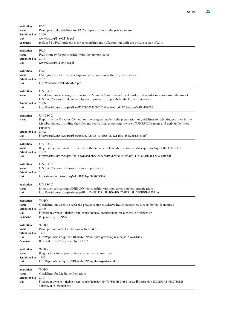| Institution                                   | <b>FAO</b>                                                                                                                                                                                                                                                                                                             |
|-----------------------------------------------|------------------------------------------------------------------------------------------------------------------------------------------------------------------------------------------------------------------------------------------------------------------------------------------------------------------------|
| Name                                          | Principles and guidelines for FAO cooperation with the private sector                                                                                                                                                                                                                                                  |
| Established in                                | 2000                                                                                                                                                                                                                                                                                                                   |
| Link                                          | www.fao.org/3/a-x2215e.pdf                                                                                                                                                                                                                                                                                             |
| Comment                                       | replaced by FAO guidelines for partnerships and collaboration with the private sector of 2016                                                                                                                                                                                                                          |
| Institution                                   | <b>FAO</b>                                                                                                                                                                                                                                                                                                             |
| Name                                          | FAO strategy for partnerships with the private sector                                                                                                                                                                                                                                                                  |
| Established in                                | 2013                                                                                                                                                                                                                                                                                                                   |
| Link                                          | www.fao.org/3/a-i3444e.pdf                                                                                                                                                                                                                                                                                             |
| Institution                                   | <b>FAO</b>                                                                                                                                                                                                                                                                                                             |
| Name                                          | FAO guidelines for partnerships and collaboration with the private sector                                                                                                                                                                                                                                              |
| Established in                                | 2016                                                                                                                                                                                                                                                                                                                   |
| Link                                          | http://old.belal.by/elib/fao/661.pdf                                                                                                                                                                                                                                                                                   |
| Institution<br>Name<br>Established in<br>Link | <b>UNESCO</b><br>Guidelines for selecting partners in the Member States, including the rules and regulations governing the use of<br>UNESCO's name and emblem by these partners: Proposals by the Director-General<br>2000<br>http://portal.unesco.org/en/files/12673/10543090201directives_pdf_E/directives%2Bpdf%2BE |
| Institution<br>Name<br>Established in         | <b>UNESCO</b><br>Report by the Director-General on the progress made in the preparation of guidelines for selecting partners in the<br>Member States, including the rules and regulations governing the use of UNESCO's name and emblem by these<br>partners<br>2002                                                   |
| Link                                          | http://portal.unesco.org/en/files/15238/10643311211165_ex.37.E.pdf/165%2Bex.37.E.pdf                                                                                                                                                                                                                                   |
| Institution                                   | <b>UNESCO</b>                                                                                                                                                                                                                                                                                                          |
| Name                                          | Regulatory framework for the use of the name, emblem, abbreviation and/or sponsorship of the UNESCO                                                                                                                                                                                                                    |
| Established in                                | 2002                                                                                                                                                                                                                                                                                                                   |
| Link                                          | http://portal.unesco.org/es/file_download.php/1e027748c55b78f940569f9df6133e93Brochure+2002+ptc.pdf                                                                                                                                                                                                                    |
| Institution                                   | UNESCO                                                                                                                                                                                                                                                                                                                 |
| Name                                          | UNESCO's comprehensive partnership strategy                                                                                                                                                                                                                                                                            |
| <b>Established in</b>                         | 2013                                                                                                                                                                                                                                                                                                                   |
| Link                                          | https://unesdoc.unesco.org/ark:/48223/pf0000222986                                                                                                                                                                                                                                                                     |
| Institution                                   | <b>UNESCO</b>                                                                                                                                                                                                                                                                                                          |
| Name                                          | Directives concerning UNESCO's partnership with non-governmental organizations                                                                                                                                                                                                                                         |
| Link                                          | http://portal.unesco.org/en/ev.php-URL_ID=33137&URL_DO=DO_TOPIC&URL_SECTION=201.html                                                                                                                                                                                                                                   |
| Institution                                   | WHO                                                                                                                                                                                                                                                                                                                    |
| Name                                          | Guidelines on working with the private sector to achieve health outcomes. Report by the Secretariat                                                                                                                                                                                                                    |
| <b>Established in</b>                         | 2000                                                                                                                                                                                                                                                                                                                   |
| Link                                          | https://apps.who.int/iris/bitstream/handle/10665/78660/ee20.pdf?sequence=1&isAllowed=y                                                                                                                                                                                                                                 |
| Comment                                       | Replaced by FENSA                                                                                                                                                                                                                                                                                                      |
| Institution                                   | WHO                                                                                                                                                                                                                                                                                                                    |
| Name                                          | Principles on WHO's relations with NGO's                                                                                                                                                                                                                                                                               |
| Established in                                | 1948                                                                                                                                                                                                                                                                                                                   |
| Link                                          | http://apps.who.int/gb/bd/PDF/bd47/EN/principles-governing-rela-en.pdf?ua=1&ua=1                                                                                                                                                                                                                                       |
| Comment                                       | Revised in 1987, replaced by FENSA                                                                                                                                                                                                                                                                                     |
| Institution                                   | WHO                                                                                                                                                                                                                                                                                                                    |
| Name                                          | Regulations for expert advisory panels and committees                                                                                                                                                                                                                                                                  |
| Established in                                | 1982                                                                                                                                                                                                                                                                                                                   |
| Link                                          | http://apps.who.int/gb/bd/PDF/bd47/EN/regu-for-expert-en.pdf                                                                                                                                                                                                                                                           |
| Institution<br>Name<br>Established in<br>Link | WHO<br>Guidelines for Medicine Donations<br>2010<br>https://apps.who.int/iris/bitstream/handle/10665/44647/9789241501989_eng.pdf;jsessionid=ECDDBF3A81F83973CE83<br>48665525EF51?sequence=1                                                                                                                            |